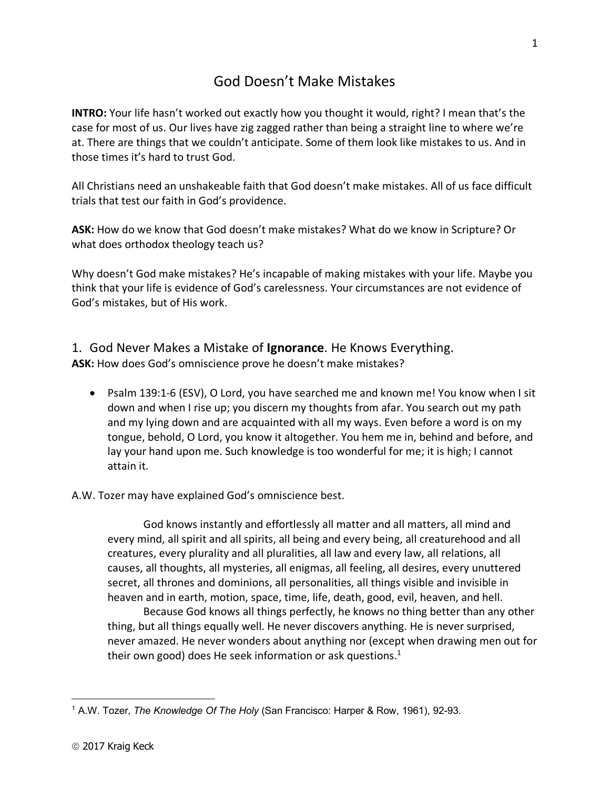## God Doesn't Make Mistakes

**INTRO:** Your life hasn't worked out exactly how you thought it would, right? I mean that's the case for most of us. Our lives have zig zagged rather than being a straight line to where we're at. There are things that we couldn't anticipate. Some of them look like mistakes to us. And in those times it's hard to trust God.

All Christians need an unshakeable faith that God doesn't make mistakes. All of us face difficult trials that test our faith in God's providence.

**ASK:** How do we know that God doesn't make mistakes? What do we know in Scripture? Or what does orthodox theology teach us?

Why doesn't God make mistakes? He's incapable of making mistakes with your life. Maybe you think that your life is evidence of God's carelessness. Your circumstances are not evidence of God's mistakes, but of His work.

1. God Never Makes a Mistake of **Ignorance**. He Knows Everything. **ASK:** How does God's omniscience prove he doesn't make mistakes?

• Psalm 139:1-6 (ESV), O Lord, you have searched me and known me! You know when I sit down and when I rise up; you discern my thoughts from afar. You search out my path and my lying down and are acquainted with all my ways. Even before a word is on my tongue, behold, O Lord, you know it altogether. You hem me in, behind and before, and lay your hand upon me. Such knowledge is too wonderful for me; it is high; I cannot attain it.

A.W. Tozer may have explained God's omniscience best.

God knows instantly and effortlessly all matter and all matters, all mind and every mind, all spirit and all spirits, all being and every being, all creaturehood and all creatures, every plurality and all pluralities, all law and every law, all relations, all causes, all thoughts, all mysteries, all enigmas, all feeling, all desires, every unuttered secret, all thrones and dominions, all personalities, all things visible and invisible in heaven and in earth, motion, space, time, life, death, good, evil, heaven, and hell.

Because God knows all things perfectly, he knows no thing better than any other thing, but all things equally well. He never discovers anything. He is never surprised, never amazed. He never wonders about anything nor (except when drawing men out for their own good) does He seek information or ask questions. $1$ 

 $\overline{a}$ <sup>1</sup> A.W. Tozer, *The Knowledge Of The Holy* (San Francisco: Harper & Row, 1961), 92-93.